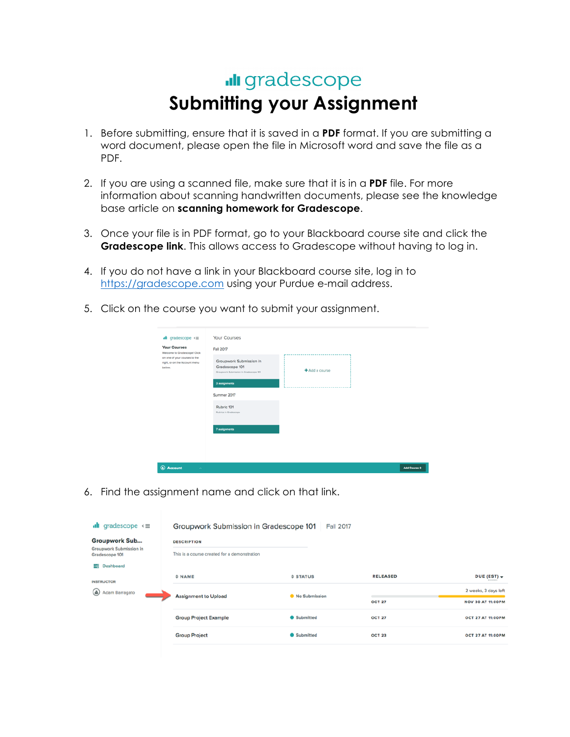## **Ill** gradescope **Submitting your Assignment**

- 1. Before submitting, ensure that it is saved in a **PDF** format. If you are submitting a word document, please open the file in Microsoft word and save the file as a PDF.
- 2. If you are using a scanned file, make sure that it is in a **PDF** file. For more information about scanning handwritten documents, please see the knowledge base article on **scanning homework for Gradescope**.
- 3. Once your file is in PDF format, go to your Blackboard course site and click the **Gradescope link**. This allows access to Gradescope without having to log in.
- 4. If you do not have a link in your Blackboard course site, log in to https://gradescope.com using your Purdue e-mail address.
- 5. Click on the course you want to submit your assignment.

| <b>Your Courses</b><br>Welcome to Gradescope! Click<br>on one of your courses to the<br>right, or on the Account menu | Fall 2017<br>Groupwork Submission in                                      |                  |  |
|-----------------------------------------------------------------------------------------------------------------------|---------------------------------------------------------------------------|------------------|--|
| below.                                                                                                                | Gradescope 101<br>Groupwork Submission in Gradescope 101<br>3 assignments | $+A$ dd a course |  |
|                                                                                                                       | Summer 2017                                                               |                  |  |
|                                                                                                                       | Rubric 101<br>Rubrics in Gradescope                                       |                  |  |
|                                                                                                                       | 7 assignments                                                             |                  |  |
|                                                                                                                       |                                                                           |                  |  |

6. Find the assignment name and click on that link.

| gradescope $\leq$<br>alt                               | Groupwork Submission in Gradescope 101                             | <b>Fall 2017</b> |                 |                          |
|--------------------------------------------------------|--------------------------------------------------------------------|------------------|-----------------|--------------------------|
| <b>Groupwork Sub</b><br><b>Groupwork Submission in</b> | <b>DESCRIPTION</b><br>This is a course created for a demonstration |                  |                 |                          |
| Gradescope 101                                         |                                                                    |                  |                 |                          |
| <b>Dashboard</b><br>- 1                                |                                                                    |                  |                 |                          |
|                                                        | # NAME                                                             | $$$ STATUS       | <b>RELEASED</b> | DUE (EST) -              |
| <b>INSTRUCTOR</b><br>$\circledast$<br>Adam Barragato   | <b>Assignment to Upload</b>                                        | No Submission    |                 | 2 weeks, 3 days left     |
|                                                        |                                                                    |                  | <b>OCT 27</b>   | <b>NOV 30 AT 11:00PM</b> |
|                                                        | <b>Group Project Example</b>                                       | <b>Submitted</b> | <b>OCT 27</b>   | <b>OCT 27 AT 11:00PM</b> |
|                                                        | <b>Group Project</b>                                               | <b>Submitted</b> | <b>OCT 23</b>   | <b>OCT 27 AT 11:00PM</b> |
|                                                        |                                                                    |                  |                 |                          |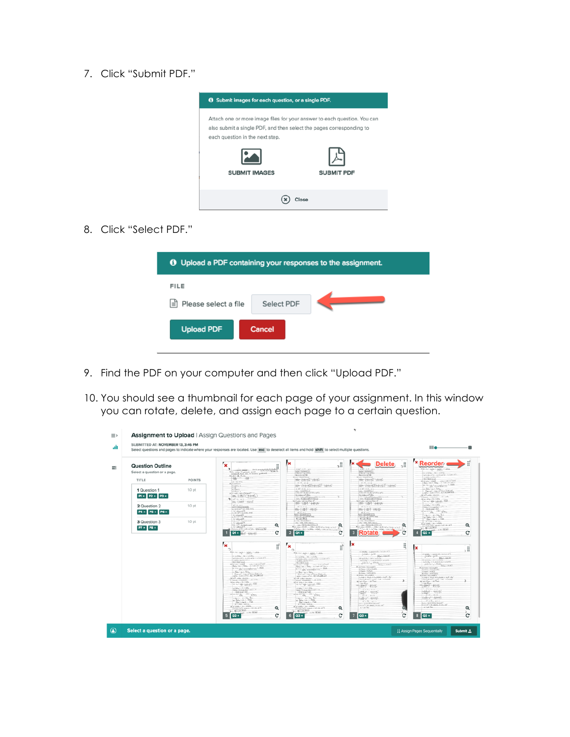7. Click "Submit PDF."



8. Click "Select PDF."

| <b>O</b> Upload a PDF containing your responses to the assignment. |            |  |
|--------------------------------------------------------------------|------------|--|
| <b>FILE</b>                                                        |            |  |
| Please select a file<br>ا≡ا                                        | Select PDF |  |
| <b>Upload PDF</b>                                                  | Cancel     |  |

- 9. Find the PDF on your computer and then click "Upload PDF."
- 10. You should see a thumbnail for each page of your assignment. In this window you can rotate, delete, and assign each page to a certain question.

| <b>Question Outline</b>      |                   | $\pmb{\times}$                                                                                                                                                                                                                                                                                                                                                                                                                                                                                                                                                                                                                                                                                                                                                                                                                                                                                                                                                                                                                                                                                                     | $\frac{1}{2}$<br>ľх<br>₩                                                                                                                                                                                                                                                                                                                                                                                                                                                                                                                                                                                                                                                                                                                                                                                                                                                                                                                                                                                                                                                                                                                                                                                                                                                                                                                                                                                                                                                                                                                                                                                                     | <b>Delete</b>                                                                                                                                                                                                                                                                                                                                                                                                                                                                                                                                                                                                                                                                                                                                                                                                                                                      | j. | <b>× Reorder</b><br>a Passimon Procedure Processing the                                                                                                                                                                                                                                                                                                                                                                                                                                                                                                                                                                                                                                                             |
|------------------------------|-------------------|--------------------------------------------------------------------------------------------------------------------------------------------------------------------------------------------------------------------------------------------------------------------------------------------------------------------------------------------------------------------------------------------------------------------------------------------------------------------------------------------------------------------------------------------------------------------------------------------------------------------------------------------------------------------------------------------------------------------------------------------------------------------------------------------------------------------------------------------------------------------------------------------------------------------------------------------------------------------------------------------------------------------------------------------------------------------------------------------------------------------|------------------------------------------------------------------------------------------------------------------------------------------------------------------------------------------------------------------------------------------------------------------------------------------------------------------------------------------------------------------------------------------------------------------------------------------------------------------------------------------------------------------------------------------------------------------------------------------------------------------------------------------------------------------------------------------------------------------------------------------------------------------------------------------------------------------------------------------------------------------------------------------------------------------------------------------------------------------------------------------------------------------------------------------------------------------------------------------------------------------------------------------------------------------------------------------------------------------------------------------------------------------------------------------------------------------------------------------------------------------------------------------------------------------------------------------------------------------------------------------------------------------------------------------------------------------------------------------------------------------------------|--------------------------------------------------------------------------------------------------------------------------------------------------------------------------------------------------------------------------------------------------------------------------------------------------------------------------------------------------------------------------------------------------------------------------------------------------------------------------------------------------------------------------------------------------------------------------------------------------------------------------------------------------------------------------------------------------------------------------------------------------------------------------------------------------------------------------------------------------------------------|----|---------------------------------------------------------------------------------------------------------------------------------------------------------------------------------------------------------------------------------------------------------------------------------------------------------------------------------------------------------------------------------------------------------------------------------------------------------------------------------------------------------------------------------------------------------------------------------------------------------------------------------------------------------------------------------------------------------------------|
| Select a question or a page. |                   | <b>CONTRACTOR</b>                                                                                                                                                                                                                                                                                                                                                                                                                                                                                                                                                                                                                                                                                                                                                                                                                                                                                                                                                                                                                                                                                                  | ANCHORNE<br><b>Marchand</b>                                                                                                                                                                                                                                                                                                                                                                                                                                                                                                                                                                                                                                                                                                                                                                                                                                                                                                                                                                                                                                                                                                                                                                                                                                                                                                                                                                                                                                                                                                                                                                                                  | <b><i>MARCONALIST</i></b>                                                                                                                                                                                                                                                                                                                                                                                                                                                                                                                                                                                                                                                                                                                                                                                                                                          |    | Matter Labor Select Cable<br>at a little in a told by                                                                                                                                                                                                                                                                                                                                                                                                                                                                                                                                                                                                                                                               |
| TITLE                        | POINTS            | delays and of a fa-<br>the contract of the local                                                                                                                                                                                                                                                                                                                                                                                                                                                                                                                                                                                                                                                                                                                                                                                                                                                                                                                                                                                                                                                                   | Kosta ralami'da ir<br>the latest later                                                                                                                                                                                                                                                                                                                                                                                                                                                                                                                                                                                                                                                                                                                                                                                                                                                                                                                                                                                                                                                                                                                                                                                                                                                                                                                                                                                                                                                                                                                                                                                       | Book Brand Co<br>Korn slant in a<br>the bards yards                                                                                                                                                                                                                                                                                                                                                                                                                                                                                                                                                                                                                                                                                                                                                                                                                |    | MAMAG'S LANGES / MAMOS<br>L. R. ANDR. D. A., Schwalk Tech-<br>SCORA AND                                                                                                                                                                                                                                                                                                                                                                                                                                                                                                                                                                                                                                             |
|                              |                   | 49118-1774<br><b>Rational Ave</b><br>at police.                                                                                                                                                                                                                                                                                                                                                                                                                                                                                                                                                                                                                                                                                                                                                                                                                                                                                                                                                                                                                                                                    | $1.4 - 0.18$<br>$\frac{1}{2} \frac{1}{2} \left( \frac{1}{2} \frac{1}{2} \frac{1}{2} + \frac{1}{2} \frac{1}{2} \frac{1}{2} \frac{1}{2} \frac{1}{2} \frac{1}{2} \frac{1}{2} \frac{1}{2} \frac{1}{2} \frac{1}{2} \frac{1}{2} \frac{1}{2} \frac{1}{2} \frac{1}{2} \frac{1}{2} \frac{1}{2} \frac{1}{2} \frac{1}{2} \frac{1}{2} \frac{1}{2} \frac{1}{2} \frac{1}{2} \frac{1}{2} \frac{1}{2} \frac{1}{2} \frac{1}{2$                                                                                                                                                                                                                                                                                                                                                                                                                                                                                                                                                                                                                                                                                                                                                                                                                                                                                                                                                                                                                                                                                                                                                                                                                | X:0, x:1<br>ma (anotheres) toro-                                                                                                                                                                                                                                                                                                                                                                                                                                                                                                                                                                                                                                                                                                                                                                                                                                   |    | to close a high constitute of LAY<br>Bearing of Beauty and the College                                                                                                                                                                                                                                                                                                                                                                                                                                                                                                                                                                                                                                              |
| 1 Question 1                 | 1.0 <sub>pt</sub> | $1 - K$<br>di Trento<br>Al-Gaut.a.                                                                                                                                                                                                                                                                                                                                                                                                                                                                                                                                                                                                                                                                                                                                                                                                                                                                                                                                                                                                                                                                                 | 1. A.M. 1. 8. ML a.m.<br>Loan, LADARDON, 2                                                                                                                                                                                                                                                                                                                                                                                                                                                                                                                                                                                                                                                                                                                                                                                                                                                                                                                                                                                                                                                                                                                                                                                                                                                                                                                                                                                                                                                                                                                                                                                   | $-3.56$ + 8.55 $-$ 8.1<br>rate, LADATEEAL                                                                                                                                                                                                                                                                                                                                                                                                                                                                                                                                                                                                                                                                                                                                                                                                                          |    | $\begin{split} \frac{\partial^2}{\partial t^2}&=\frac{1}{2\pi^2}\int_0^1\frac{1}{\left(\frac{1}{2}x^2+\frac{1}{2}x^2+\frac{1}{2}x^2+\frac{1}{2}x^2+\frac{1}{2}x^2+\frac{1}{2}x^2+\frac{1}{2}x^2+\frac{1}{2}x^2+\frac{1}{2}x^2+\frac{1}{2}x^2+\frac{1}{2}x^2+\frac{1}{2}x^2+\frac{1}{2}x^2+\frac{1}{2}x^2+\frac{1}{2}x^2+\frac{1}{2}x^2+\frac{1}{2}x^2+\frac{1}{2}x^$                                                                                                                                                                                                                                                                                                                                                |
| P1 x   P2 x   P3 x           |                   | For an additional<br>im EBSChink                                                                                                                                                                                                                                                                                                                                                                                                                                                                                                                                                                                                                                                                                                                                                                                                                                                                                                                                                                                                                                                                                   | Dear President President<br>Attack Mr.                                                                                                                                                                                                                                                                                                                                                                                                                                                                                                                                                                                                                                                                                                                                                                                                                                                                                                                                                                                                                                                                                                                                                                                                                                                                                                                                                                                                                                                                                                                                                                                       | Annual Monument Princes<br>Attack of Ma                                                                                                                                                                                                                                                                                                                                                                                                                                                                                                                                                                                                                                                                                                                                                                                                                            |    | Mrs. Lake of GL. B. Lat. and and<br>No. of adapt residents.                                                                                                                                                                                                                                                                                                                                                                                                                                                                                                                                                                                                                                                         |
|                              |                   | into Contractors                                                                                                                                                                                                                                                                                                                                                                                                                                                                                                                                                                                                                                                                                                                                                                                                                                                                                                                                                                                                                                                                                                   | antine a Discoving and<br>building information of                                                                                                                                                                                                                                                                                                                                                                                                                                                                                                                                                                                                                                                                                                                                                                                                                                                                                                                                                                                                                                                                                                                                                                                                                                                                                                                                                                                                                                                                                                                                                                            | calls (Lamon Disputation of)<br>Joint Louis, J. Ad-Andrillon, 27.                                                                                                                                                                                                                                                                                                                                                                                                                                                                                                                                                                                                                                                                                                                                                                                                  |    | I had at completes in the week.<br>THE R. LEWIS CO., LANSING MICH.<br>$\mathbf{z}(-t_{\mathbf{S}}) = \mathbf{L}_{\mathbf{S}}^{\mathbf{G}}(\mathbf{z}) - \mathbf{L}_{\mathbf{S}}^{\mathbf{G}}(\mathbf{z}) - \mathbf{L}_{\mathbf{S}}^{\mathbf{G}}(\mathbf{z})$                                                                                                                                                                                                                                                                                                                                                                                                                                                        |
| 2 Question 2                 | 1.0 <sub>pt</sub> | <b>Collaborate</b>                                                                                                                                                                                                                                                                                                                                                                                                                                                                                                                                                                                                                                                                                                                                                                                                                                                                                                                                                                                                                                                                                                 | 100-1405 - Level<br>$17 - 0.014$                                                                                                                                                                                                                                                                                                                                                                                                                                                                                                                                                                                                                                                                                                                                                                                                                                                                                                                                                                                                                                                                                                                                                                                                                                                                                                                                                                                                                                                                                                                                                                                             | 1000-1005-14446<br>$X^2 = 20$ , and the                                                                                                                                                                                                                                                                                                                                                                                                                                                                                                                                                                                                                                                                                                                                                                                                                            |    | integration and the                                                                                                                                                                                                                                                                                                                                                                                                                                                                                                                                                                                                                                                                                                 |
| P4 x P5 x P6 x               |                   | ALIAN (M <sup>2</sup>   ML/M2, 6m)<br>ALAMAM <sup>26</sup>                                                                                                                                                                                                                                                                                                                                                                                                                                                                                                                                                                                                                                                                                                                                                                                                                                                                                                                                                                                                                                                         | $\frac{1}{1+2\sqrt{2}}\cdot\frac{1}{4}\cdot\frac{1}{1+2\sqrt{2}}\cdot\frac{1}{4}\cdot\frac{1}{4}\cdot\frac{1}{4}\cdot\frac{1}{4}\cdot\frac{1}{4}\cdot\frac{1}{4}\cdot\frac{1}{4}\cdot\frac{1}{4}\cdot\frac{1}{4}\cdot\frac{1}{4}\cdot\frac{1}{4}\cdot\frac{1}{4}\cdot\frac{1}{4}\cdot\frac{1}{4}\cdot\frac{1}{4}\cdot\frac{1}{4}\cdot\frac{1}{4}\cdot\frac{1}{4}\cdot\frac{1}{4}\cdot\frac{1}{4}\cdot\frac{1}{4}\cdot\frac{1}{4}\cdot\frac{1}{4$                                                                                                                                                                                                                                                                                                                                                                                                                                                                                                                                                                                                                                                                                                                                                                                                                                                                                                                                                                                                                                                                                                                                                                             | Why ( MF) ( Note)                                                                                                                                                                                                                                                                                                                                                                                                                                                                                                                                                                                                                                                                                                                                                                                                                                                  |    | $\frac{\left( q_{1} \right) + (1 + \epsilon_{1} \epsilon_{2}) \left( q_{1} \right) \cdots \left( q_{n} \right) }{\left( \left( q_{n} \right) \cdots \left( q_{n} \right) \right) \cdots \left( q_{n} \right) }$<br>$\frac{1}{\sqrt{2\pi}}\frac{1}{\sqrt{2}}\frac{1}{\sqrt{2\pi}}\frac{1}{\sqrt{2\pi}}\frac{1}{\sqrt{2\pi}}\frac{1}{\sqrt{2\pi}}\frac{1}{\sqrt{2\pi}}\frac{1}{\sqrt{2\pi}}\frac{1}{\sqrt{2\pi}}\frac{1}{\sqrt{2\pi}}\frac{1}{\sqrt{2\pi}}\frac{1}{\sqrt{2\pi}}\frac{1}{\sqrt{2\pi}}\frac{1}{\sqrt{2\pi}}\frac{1}{\sqrt{2\pi}}\frac{1}{\sqrt{2\pi}}\frac{1}{\sqrt{2\pi}}\frac{1}{\sqrt{2\pi}}\frac{1}{\$                                                                                              |
|                              |                   | A. an early an available and<br>ALLAMANC <sup>36</sup><br>a marshall million                                                                                                                                                                                                                                                                                                                                                                                                                                                                                                                                                                                                                                                                                                                                                                                                                                                                                                                                                                                                                                       | <b>P.A.C.</b><br>$\frac{\Delta\left( \mathbf{y}_{1}+\mathbf{y}\right) \cdot \mathbf{y}\cdot \mathbf{y}\cdot \mathbf{y}}{\left\  \mathbf{y}\cdot \mathbf{y}\right\  }$ and                                                                                                                                                                                                                                                                                                                                                                                                                                                                                                                                                                                                                                                                                                                                                                                                                                                                                                                                                                                                                                                                                                                                                                                                                                                                                                                                                                                                                                                    | <b>P. Leville Co.</b><br>$\frac{2.55 \times 10^{6} \times 1.858 \text{ K} \cdot \text{mol}}{26 \times 10^{-2} \text{ K} \cdot \text{mol}}$                                                                                                                                                                                                                                                                                                                                                                                                                                                                                                                                                                                                                                                                                                                         |    | ago, a mala<br>Jackson Sp                                                                                                                                                                                                                                                                                                                                                                                                                                                                                                                                                                                                                                                                                           |
| 3 Question 3                 | 1.0 <sub>pt</sub> | Alamas R<br>Lots Aval" / AL 41630-916                                                                                                                                                                                                                                                                                                                                                                                                                                                                                                                                                                                                                                                                                                                                                                                                                                                                                                                                                                                                                                                                              | L. Mb. (414) 2334 3                                                                                                                                                                                                                                                                                                                                                                                                                                                                                                                                                                                                                                                                                                                                                                                                                                                                                                                                                                                                                                                                                                                                                                                                                                                                                                                                                                                                                                                                                                                                                                                                          | U. 49-1614-22312                                                                                                                                                                                                                                                                                                                                                                                                                                                                                                                                                                                                                                                                                                                                                                                                                                                   |    | $246.15849 - 746$<br>1.11.95 - After                                                                                                                                                                                                                                                                                                                                                                                                                                                                                                                                                                                                                                                                                |
| $P7 \times$ $P8 \times$      |                   | Alland <sup>36</sup><br>1m. - A7. M. Inth. and<br>$112848^{\circ}$                                                                                                                                                                                                                                                                                                                                                                                                                                                                                                                                                                                                                                                                                                                                                                                                                                                                                                                                                                                                                                                 | John Lind, PATLONIA<br>Q<br>Q<br>ment the boom and have<br>Red and ARRE - AND LESS OF CARD AT A 21                                                                                                                                                                                                                                                                                                                                                                                                                                                                                                                                                                                                                                                                                                                                                                                                                                                                                                                                                                                                                                                                                                                                                                                                                                                                                                                                                                                                                                                                                                                           | John Lind, PATLINIAL<br>ment Baltimore Affred and<br>Red rescribed in the Law Hitchnister collection of the                                                                                                                                                                                                                                                                                                                                                                                                                                                                                                                                                                                                                                                                                                                                                        | Q  | We are taken in the bank of the local<br>Decision Francisco Miller<br>1 Strandon                                                                                                                                                                                                                                                                                                                                                                                                                                                                                                                                                                                                                                    |
|                              |                   | $1/2$ and $2/2$ and $2/2$ and $2/2$ and $2/2$<br>Of K any terms                                                                                                                                                                                                                                                                                                                                                                                                                                                                                                                                                                                                                                                                                                                                                                                                                                                                                                                                                                                                                                                    | blancom - blank tolay campaign<br>с<br>c<br><b>Of x</b>                                                                                                                                                                                                                                                                                                                                                                                                                                                                                                                                                                                                                                                                                                                                                                                                                                                                                                                                                                                                                                                                                                                                                                                                                                                                                                                                                                                                                                                                                                                                                                      | Free of Car Car Co. Cold Lawrence<br><b>Rotate</b><br>3                                                                                                                                                                                                                                                                                                                                                                                                                                                                                                                                                                                                                                                                                                                                                                                                            | c  | <b>WELLMAN CARLS AND</b><br>Q2 ×                                                                                                                                                                                                                                                                                                                                                                                                                                                                                                                                                                                                                                                                                    |
|                              |                   | ×<br>Δ<br>The real age rights and the<br>on salary - as a talkle-<br>NEMOCHANGER VIOLET<br>LANGUARDO L<br><b>Birthday</b><br>$\frac{40.01444 \times 1.8247}{2456 \times 10^{-6} \text{ erg} - 1.134 \times 10^{13} \text{ erg}}$<br>$\frac{1}{2} \left( \frac{1}{2} \right) \left( \frac{1}{2} \right) \left( \frac{1}{2} \right) \left( \frac{1}{2} \right) \left( \frac{1}{2} \right) \left( \frac{1}{2} \right) \left( \frac{1}{2} \right) \left( \frac{1}{2} \right) \left( \frac{1}{2} \right) \left( \frac{1}{2} \right) \left( \frac{1}{2} \right) \left( \frac{1}{2} \right) \left( \frac{1}{2} \right) \left( \frac{1}{2} \right) \left( \frac{1}{2} \right) \left( \frac{1}{2} \right) \left( \frac$<br>to art aske exciter<br>what researches  it with<br>$25.46$ KKb + Ma + DOs +<br>and the local contract of<br>$\frac{163.1715 \times 21}{(13.14 \times 10^{-14})^2}$<br>$\frac{1}{2\pi}\left(1/4\right)\frac{1}{4\pi}\frac{1}{4\pi}\frac{1}{4\pi}\left(1-\frac{1}{4\pi}\frac{1}{4\pi}\right)$<br>Les  as the face<br>$\frac{16.545 + 16.1}{709 + 148.01} + \frac{5.03}{709}.$<br>111, ME 1, SR Han | f<br>Ť<br>×<br>Э<br>We are looked before the<br>straight as solds.<br>Adams of Lincoln and Anti-Art 1<br>causes on reaction<br>St. Schmall<br><b>WESTMAN MARK CONTRACTOR</b><br>Boy Ltd. J. Responsibility of Marin<br>$\frac{\lambda(1+\lambda_1+\ldots+\lambda_{n-1})}{\lambda(2\lambda_1-1)\cdot\mu-\nu^2(\lambda_1+\nu-1)}\leq \frac{12\lambda_1\lambda_1}{\lambda_1\lambda_1\lambda_1\ldots\lambda_1}\,.$<br>of the Case of Many<br>American State Street Street<br>to all asks stakes.<br>point magazine in the wide.<br>$\frac{15}{10} \leq \frac{14}{5} \leq \frac{1}{10} \leq \frac{16}{5} \leq \frac{16}{5} \leq \frac{16}{5} \leq \frac{16}{5} \leq \frac{16}{5} \leq \frac{16}{5}$<br>$+1.143 + 1.011 + 0.03$<br>$\frac{1}{2} \frac{1}{\left(1 + 2 + 2 + 3\right)} \frac{1}{\left(1 + 2 + 3\right)} \frac{1}{\left(1 + 2 + 3\right)} \frac{1}{\left(1 + 2 + 3\right)} \frac{1}{\left(1 + 2 + 3\right)} \frac{1}{\left(1 + 2 + 3\right)} \frac{1}{\left(1 + 2 + 3\right)} \frac{1}{\left(1 + 2 + 3\right)} \frac{1}{\left(1 + 2 + 3\right)} \frac{1}{\left(1 + 2 + 3\right)} \frac{1}{\left(1 + 2 + 3\right)} \frac{1}{\left(1 + 2$<br>$\frac{1}{2} \left( \frac{1}{2} \frac{1}{2} \frac{1}{2} \frac{1}{2} \frac{1}{2} \frac{1}{2} \frac{1}{2} \frac{1}{2} \frac{1}{2} \frac{1}{2} \frac{1}{2} \frac{1}{2} \frac{1}{2} \frac{1}{2} \frac{1}{2} \frac{1}{2} \frac{1}{2} \frac{1}{2} \frac{1}{2} \frac{1}{2} \frac{1}{2} \frac{1}{2} \frac{1}{2} \frac{1}{2} \frac{1}{2} \frac{1}{2} \frac{1}{2} \frac{1}{2} \frac{1}{2} \frac{1}{2}$<br>and activities.<br>in Space - Sep-<br>Application  Two<br>411,956 - Albem- | lх<br>$-1$ and the 1.1 degree of the 1.1 degree of 2.1.<br>- hand a post-<br>Distribution.<br>distances in the control of the con-<br>tel.th, triangers are telate.<br>in Distriction Corp. Com.<br><b>M. G. Auto, Linkinghilli</b><br>(a) Rate, 5 KEA 51 kBS.<br>$-$ 10. Root in 1. In 1. Handburg<br>All Auto 1 to Multi PTL<br>Billion Information<br>Contact States Contact of A. B.<br>International costs and controls<br>and that Millery is an Winnip<br>D. Law Allisan<br>$\frac{\log \left(\frac{1}{\log n}\right)}{\log \left(\frac{1}{\log n}\right)} \leq \frac{\log \left(\frac{1}{\log n}\right)}{\log \left(\frac{1}{\log n}\right)}$<br>$X' = X_1, \dots, X_n \in \mathbb{R}$<br>$(48\sqrt{3})^2 + 12.038\sqrt{3}$<br>.0001<br>$17.1 - 0.11$<br>$\frac{1}{2}$ (size) <sup>*</sup> $\frac{1}{2}$ (size)<br>$15.131 + 10.11$<br>Are - ALL SON SLIVE | ij | Ι×<br>al MARA La March 4, Salam AT<br><b>STAND AND REAL ABOVE</b><br>Audith, I see to falls<br>ALLAN A LANGUAGE MAINTAIL<br>delain critics and<br>20 July August 2 to 2 Associate<br>Tel: Nation 1 Builds, Stratfitz<br>of bearings to<br>AL Felix 13-15, 2272<br>. But are the furniture.<br>Conduct Majority Support in Auto Au-<br>communication is a set of country of a set of the<br>as within 1.4 The<br>Link West<br>moment - Alexan<br>$1.11 + 1.1$<br>$\frac{(1.016 \text{ V})^2 + (0.011 \text{ V})^2}{(0.016 \text{ V})^2}$<br>$1 - 1 - 1 - 2 - 1$<br>$\frac{1}{2}$ (all $y^*$ ) $\frac{1}{2}$ (exist)<br><b>Sand J.</b><br>$x^2 + 2x - 4x -$<br>Assn.   ALL SLACEMENT<br>Annual 1 ad aware, mant, only |
|                              |                   | at a sold in the bilder.<br>December 21, a light of the card                                                                                                                                                                                                                                                                                                                                                                                                                                                                                                                                                                                                                                                                                                                                                                                                                                                                                                                                                                                                                                                       | of a news, a new to-fold.<br>Q<br>$^{\circ}$<br>Counting against Version<br>Street, SQL                                                                                                                                                                                                                                                                                                                                                                                                                                                                                                                                                                                                                                                                                                                                                                                                                                                                                                                                                                                                                                                                                                                                                                                                                                                                                                                                                                                                                                                                                                                                      | Annual Laborato, Inggrand<br>A.L.L.O. Time.                                                                                                                                                                                                                                                                                                                                                                                                                                                                                                                                                                                                                                                                                                                                                                                                                        | Θ  | All Ad Sea                                                                                                                                                                                                                                                                                                                                                                                                                                                                                                                                                                                                                                                                                                          |
|                              |                   | $2 - 5 - 16$<br>MALLAST LANCERS                                                                                                                                                                                                                                                                                                                                                                                                                                                                                                                                                                                                                                                                                                                                                                                                                                                                                                                                                                                                                                                                                    | <b>WELLINGTON COM</b>                                                                                                                                                                                                                                                                                                                                                                                                                                                                                                                                                                                                                                                                                                                                                                                                                                                                                                                                                                                                                                                                                                                                                                                                                                                                                                                                                                                                                                                                                                                                                                                                        |                                                                                                                                                                                                                                                                                                                                                                                                                                                                                                                                                                                                                                                                                                                                                                                                                                                                    |    |                                                                                                                                                                                                                                                                                                                                                                                                                                                                                                                                                                                                                                                                                                                     |